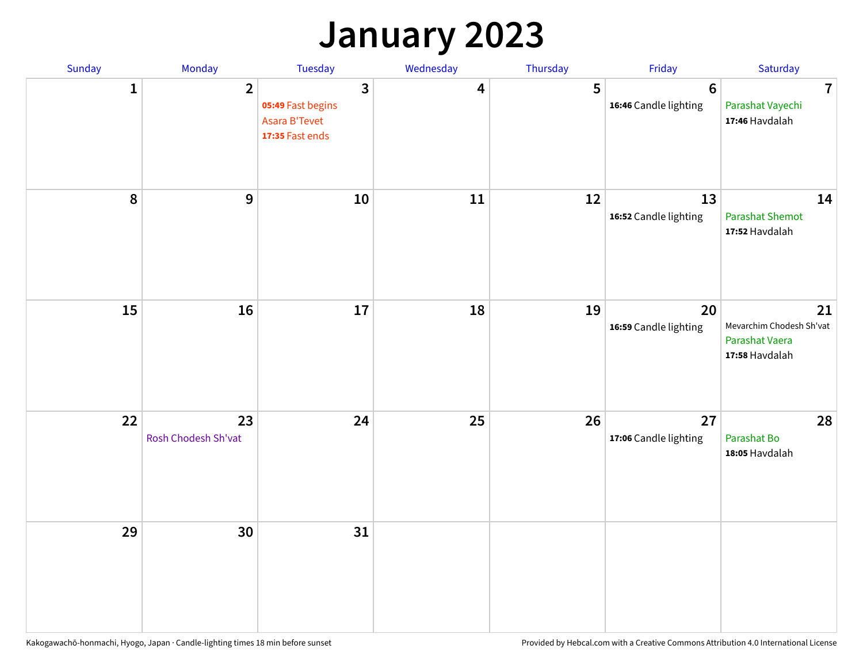### **January 2023**

| Sunday           | Monday                    | Tuesday                                                                                 | Wednesday | Thursday | Friday                                   | Saturday                                                           |
|------------------|---------------------------|-----------------------------------------------------------------------------------------|-----------|----------|------------------------------------------|--------------------------------------------------------------------|
| 1                | $\overline{2}$            | $\overline{\mathbf{3}}$<br>05:49 Fast begins<br><b>Asara B'Tevet</b><br>17:35 Fast ends | 4         | 5        | $6\phantom{1}6$<br>16:46 Candle lighting | $\overline{7}$<br>Parashat Vayechi<br>17:46 Havdalah               |
| $\boldsymbol{8}$ | $\boldsymbol{9}$          | 10                                                                                      | 11        | 12       | 13<br>16:52 Candle lighting              | 14<br><b>Parashat Shemot</b><br>17:52 Havdalah                     |
| 15               | 16                        | 17                                                                                      | 18        | 19       | 20<br>16:59 Candle lighting              | 21<br>Mevarchim Chodesh Sh'vat<br>Parashat Vaera<br>17:58 Havdalah |
| 22               | 23<br>Rosh Chodesh Sh'vat | 24                                                                                      | 25        | 26       | 27<br>17:06 Candle lighting              | 28<br>Parashat Bo<br>18:05 Havdalah                                |
| 29               | 30                        | 31                                                                                      |           |          |                                          |                                                                    |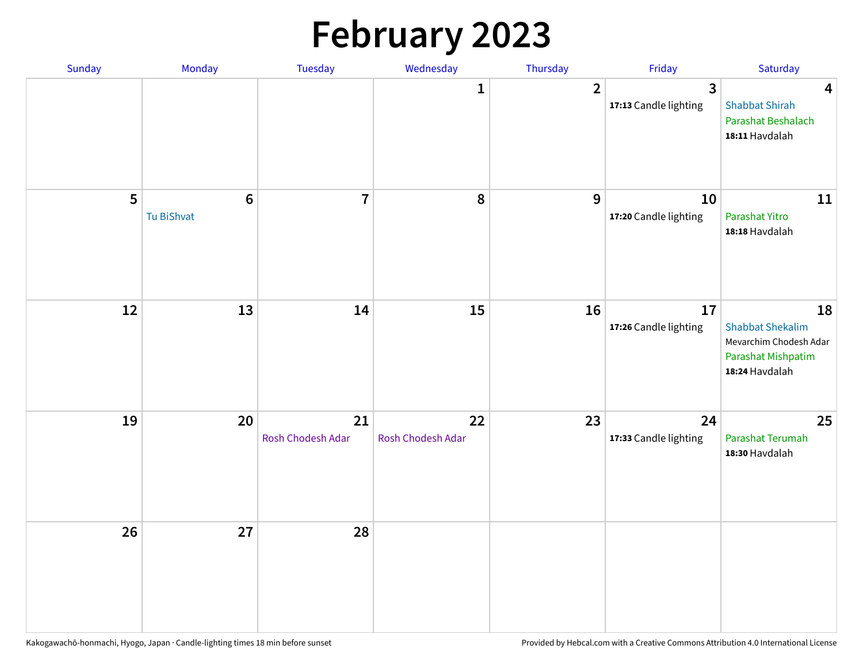# **February 2023**

| Sunday | Monday                        | Tuesday                 | Wednesday               | Thursday       | Friday                                  | Saturday                                                                                               |
|--------|-------------------------------|-------------------------|-------------------------|----------------|-----------------------------------------|--------------------------------------------------------------------------------------------------------|
|        |                               |                         | 1                       | $\overline{2}$ | $\overline{3}$<br>17:13 Candle lighting | $\overline{\mathbf{4}}$<br><b>Shabbat Shirah</b><br>Parashat Beshalach<br>18:11 Havdalah               |
| 5      | $6\phantom{1}6$<br>Tu BiShvat | $\overline{7}$          | 8                       | 9              | 10<br>17:20 Candle lighting             | 11<br>Parashat Yitro<br>18:18 Havdalah                                                                 |
| 12     | 13                            | 14                      | 15                      | 16             | 17<br>17:26 Candle lighting             | 18<br><b>Shabbat Shekalim</b><br>Mevarchim Chodesh Adar<br><b>Parashat Mishpatim</b><br>18:24 Havdalah |
| 19     | 20                            | 21<br>Rosh Chodesh Adar | 22<br>Rosh Chodesh Adar | 23             | 24<br>17:33 Candle lighting             | 25<br>Parashat Terumah<br>18:30 Havdalah                                                               |
| 26     | 27                            | 28                      |                         |                |                                         |                                                                                                        |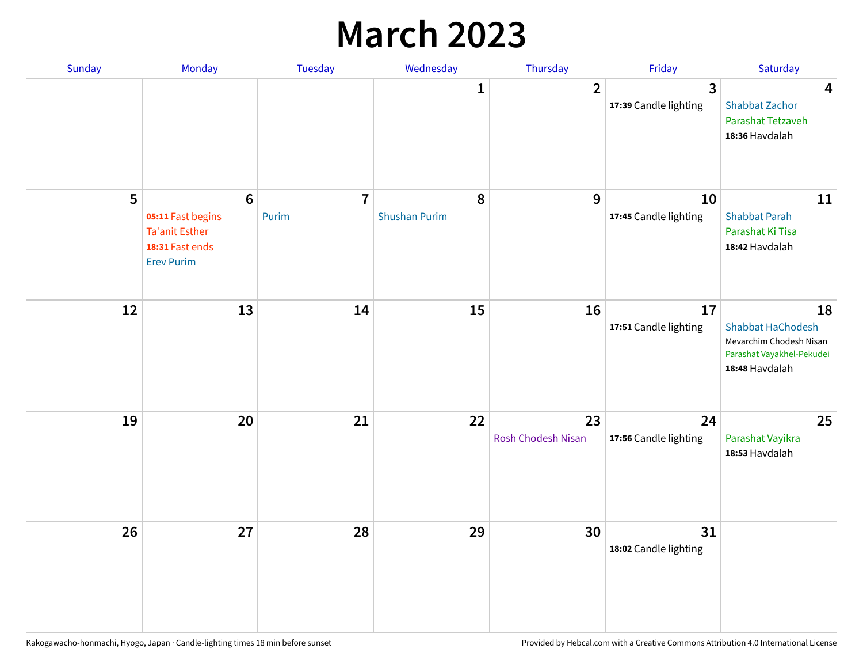## **March 2023**

| Sunday | Monday                                                                                                | Tuesday                 | Wednesday                 | Thursday                        | Friday                      | Saturday                                                                                                 |
|--------|-------------------------------------------------------------------------------------------------------|-------------------------|---------------------------|---------------------------------|-----------------------------|----------------------------------------------------------------------------------------------------------|
|        |                                                                                                       |                         | 1                         | $\overline{2}$                  | 3<br>17:39 Candle lighting  | 4<br><b>Shabbat Zachor</b><br>Parashat Tetzaveh<br>18:36 Havdalah                                        |
| 5      | $6\phantom{1}6$<br>05:11 Fast begins<br><b>Ta'anit Esther</b><br>18:31 Fast ends<br><b>Erev Purim</b> | $\overline{7}$<br>Purim | 8<br><b>Shushan Purim</b> | 9                               | 10<br>17:45 Candle lighting | 11<br><b>Shabbat Parah</b><br>Parashat Ki Tisa<br>18:42 Havdalah                                         |
| 12     | 13                                                                                                    | 14                      | 15                        | 16                              | 17<br>17:51 Candle lighting | 18<br><b>Shabbat HaChodesh</b><br>Mevarchim Chodesh Nisan<br>Parashat Vayakhel-Pekudei<br>18:48 Havdalah |
| 19     | 20                                                                                                    | 21                      | 22                        | 23<br><b>Rosh Chodesh Nisan</b> | 24<br>17:56 Candle lighting | 25<br>Parashat Vayikra<br>18:53 Havdalah                                                                 |
| 26     | 27                                                                                                    | 28                      | 29                        | 30                              | 31<br>18:02 Candle lighting |                                                                                                          |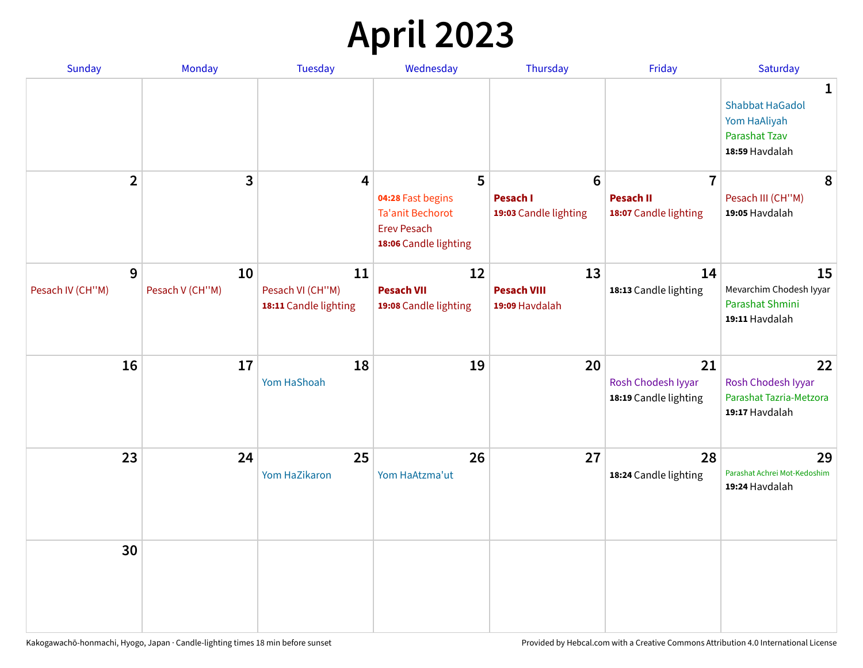## **April 2023**

| Sunday                | Monday                | <b>Tuesday</b>                                  | Wednesday                                                                                        | Thursday                                            | Friday                                                      | Saturday                                                                       |
|-----------------------|-----------------------|-------------------------------------------------|--------------------------------------------------------------------------------------------------|-----------------------------------------------------|-------------------------------------------------------------|--------------------------------------------------------------------------------|
|                       |                       |                                                 |                                                                                                  |                                                     |                                                             | 1<br><b>Shabbat HaGadol</b><br>Yom HaAliyah<br>Parashat Tzav<br>18:59 Havdalah |
| $\overline{2}$        | 3                     | $\overline{4}$                                  | 5<br>04:28 Fast begins<br><b>Ta'anit Bechorot</b><br><b>Erev Pesach</b><br>18:06 Candle lighting | $6\phantom{1}$<br>Pesach I<br>19:03 Candle lighting | $\overline{7}$<br><b>Pesach II</b><br>18:07 Candle lighting | 8<br>Pesach III (CH"M)<br>19:05 Havdalah                                       |
| 9<br>Pesach IV (CH"M) | 10<br>Pesach V (CH"M) | 11<br>Pesach VI (CH"M)<br>18:11 Candle lighting | 12<br><b>Pesach VII</b><br>19:08 Candle lighting                                                 | 13<br><b>Pesach VIII</b><br>19:09 Havdalah          | 14<br>18:13 Candle lighting                                 | 15<br>Mevarchim Chodesh Iyyar<br>Parashat Shmini<br>19:11 Havdalah             |
| 16                    | 17                    | 18<br><b>Yom HaShoah</b>                        | 19                                                                                               | 20                                                  | 21<br>Rosh Chodesh Iyyar<br>18:19 Candle lighting           | 22<br>Rosh Chodesh Iyyar<br>Parashat Tazria-Metzora<br>19:17 Havdalah          |
| 23                    | 24                    | 25<br>Yom HaZikaron                             | 26<br>Yom HaAtzma'ut                                                                             | 27                                                  | 28<br>18:24 Candle lighting                                 | 29<br>Parashat Achrei Mot-Kedoshim<br>19:24 Havdalah                           |
| 30                    |                       |                                                 |                                                                                                  |                                                     |                                                             |                                                                                |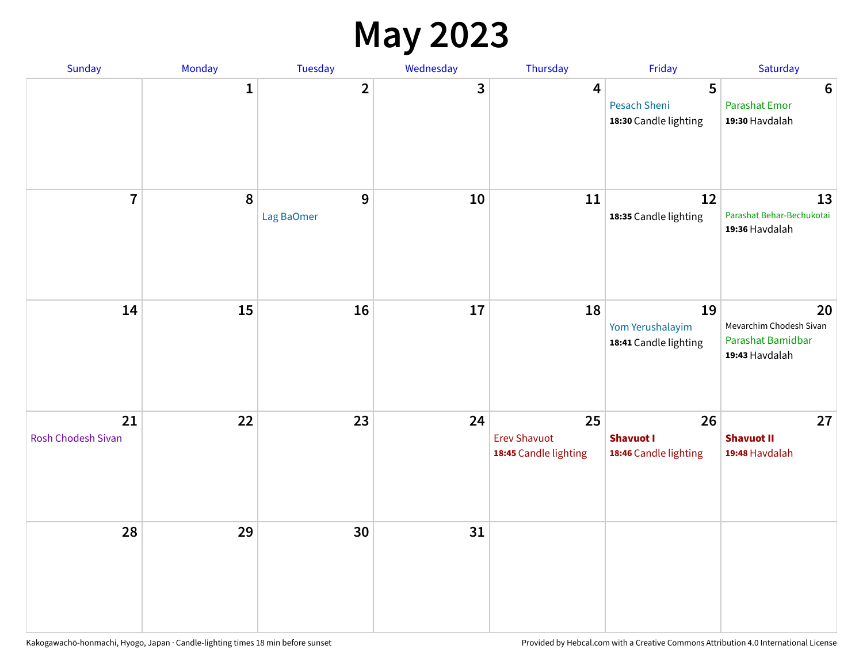### **May 2023**

| Sunday                   | Monday       | Tuesday                    | Wednesday | Thursday                                           | Friday                                          | Saturday                                                             |
|--------------------------|--------------|----------------------------|-----------|----------------------------------------------------|-------------------------------------------------|----------------------------------------------------------------------|
|                          | $\mathbf{1}$ | $\overline{2}$             | 3         | 4                                                  | 5<br>Pesach Sheni<br>18:30 Candle lighting      | $\boldsymbol{6}$<br><b>Parashat Emor</b><br>19:30 Havdalah           |
| $\overline{7}$           | 8            | $\mathbf{9}$<br>Lag BaOmer | 10        | 11                                                 | 12<br>18:35 Candle lighting                     | 13<br>Parashat Behar-Bechukotai<br>19:36 Havdalah                    |
| 14                       | 15           | 16                         | $17\,$    | 18                                                 | 19<br>Yom Yerushalayim<br>18:41 Candle lighting | 20<br>Mevarchim Chodesh Sivan<br>Parashat Bamidbar<br>19:43 Havdalah |
| 21<br>Rosh Chodesh Sivan | 22           | 23                         | 24        | 25<br><b>Erev Shavuot</b><br>18:45 Candle lighting | 26<br><b>Shavuot I</b><br>18:46 Candle lighting | 27<br><b>Shavuot II</b><br>19:48 Havdalah                            |
| 28                       | 29           | 30                         | 31        |                                                    |                                                 |                                                                      |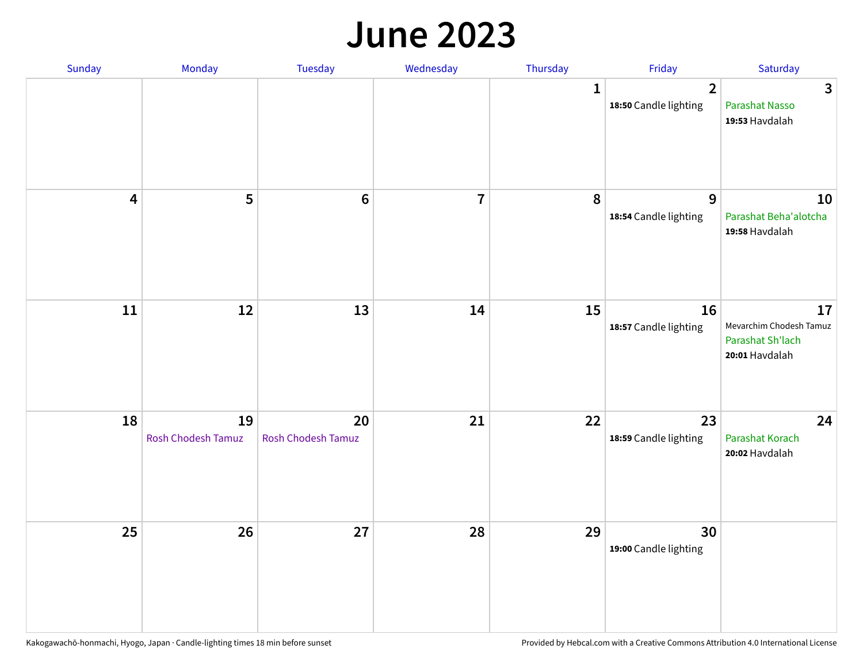#### **June 2023**

| Sunday                  | Monday                          | Tuesday                         | Wednesday      | Thursday    | Friday                                  | Saturday                                                            |
|-------------------------|---------------------------------|---------------------------------|----------------|-------------|-----------------------------------------|---------------------------------------------------------------------|
|                         |                                 |                                 |                | $\mathbf 1$ | $\overline{2}$<br>18:50 Candle lighting | $\mathbf{3}$<br>Parashat Nasso<br>19:53 Havdalah                    |
| $\overline{\mathbf{4}}$ | 5                               | $\boldsymbol{6}$                | $\overline{7}$ | 8           | $\mathbf{9}$<br>18:54 Candle lighting   | 10<br>Parashat Beha'alotcha<br>19:58 Havdalah                       |
| $11\,$                  | 12                              | 13                              | 14             | 15          | 16<br>18:57 Candle lighting             | 17<br>Mevarchim Chodesh Tamuz<br>Parashat Sh'lach<br>20:01 Havdalah |
| 18                      | 19<br><b>Rosh Chodesh Tamuz</b> | 20<br><b>Rosh Chodesh Tamuz</b> | 21             | 22          | 23<br>18:59 Candle lighting             | 24<br>Parashat Korach<br>20:02 Havdalah                             |
| 25                      | 26                              | 27                              | 28             | 29          | 30<br>19:00 Candle lighting             |                                                                     |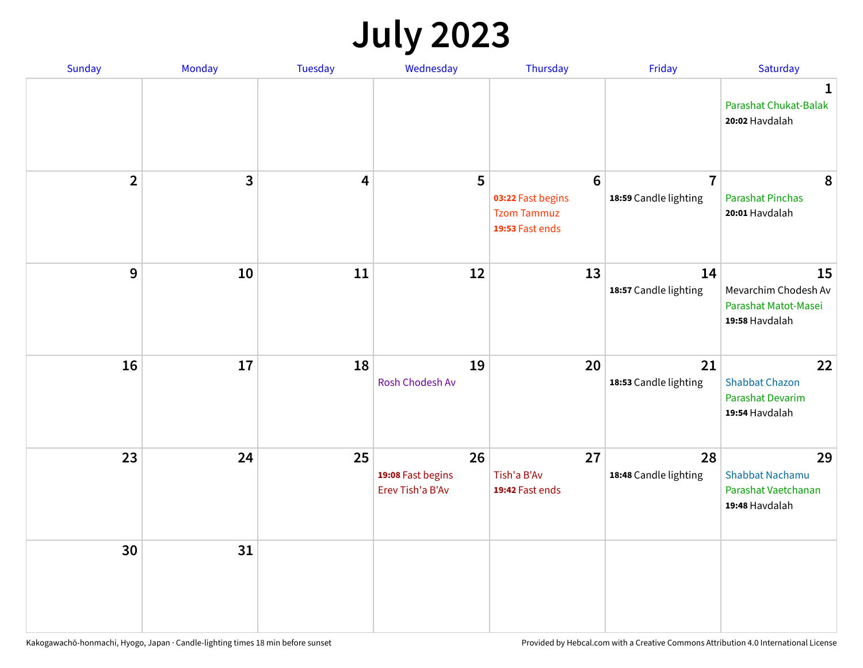## **July 2023**

| Sunday         | Monday       | <b>Tuesday</b>          | Wednesday                                   | Thursday                                                                      | Friday                                  | Saturday                                                              |
|----------------|--------------|-------------------------|---------------------------------------------|-------------------------------------------------------------------------------|-----------------------------------------|-----------------------------------------------------------------------|
|                |              |                         |                                             |                                                                               |                                         | $\mathbf 1$<br>Parashat Chukat-Balak<br>20:02 Havdalah                |
| $\overline{2}$ | $\mathbf{3}$ | $\overline{\mathbf{4}}$ | 5                                           | $6\phantom{1}6$<br>03:22 Fast begins<br><b>Tzom Tammuz</b><br>19:53 Fast ends | $\overline{7}$<br>18:59 Candle lighting | 8<br><b>Parashat Pinchas</b><br>20:01 Havdalah                        |
| 9              | 10           | 11                      | 12                                          | 13                                                                            | 14<br>18:57 Candle lighting             | 15<br>Mevarchim Chodesh Av<br>Parashat Matot-Masei<br>19:58 Havdalah  |
| 16             | 17           | 18                      | 19<br>Rosh Chodesh Av                       | 20                                                                            | 21<br>18:53 Candle lighting             | 22<br><b>Shabbat Chazon</b><br>Parashat Devarim<br>19:54 Havdalah     |
| 23             | 24           | 25                      | 26<br>19:08 Fast begins<br>Erev Tish'a B'Av | 27<br>Tish'a B'Av<br>19:42 Fast ends                                          | 28<br>18:48 Candle lighting             | 29<br><b>Shabbat Nachamu</b><br>Parashat Vaetchanan<br>19:48 Havdalah |
| 30             | 31           |                         |                                             |                                                                               |                                         |                                                                       |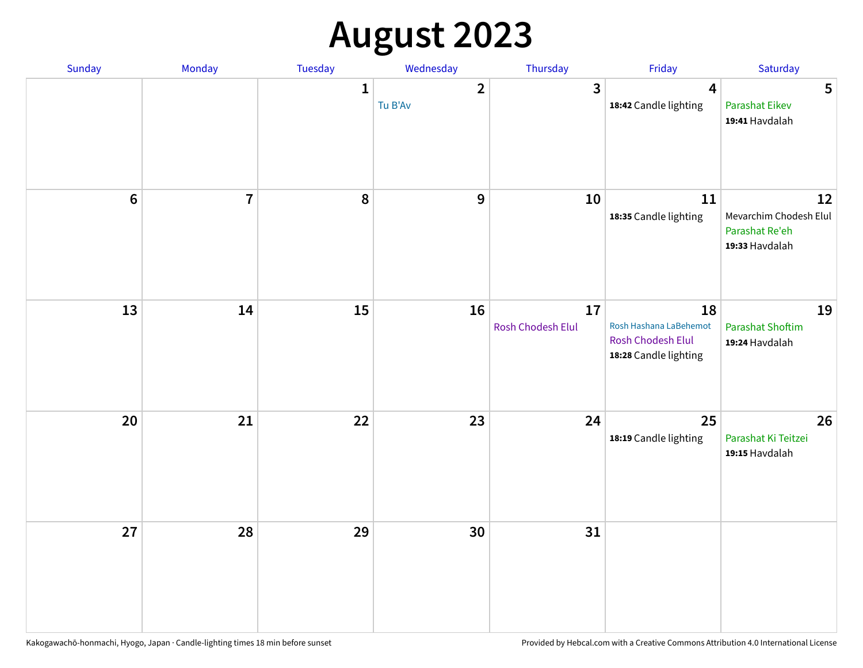## **August 2023**

| Sunday           | Monday         | Tuesday      | Wednesday                 | Thursday                | Friday                                                                     | Saturday                                                         |
|------------------|----------------|--------------|---------------------------|-------------------------|----------------------------------------------------------------------------|------------------------------------------------------------------|
|                  |                | $\mathbf{1}$ | $\overline{2}$<br>Tu B'Av | 3                       | $\overline{\mathbf{4}}$<br>18:42 Candle lighting                           | 5<br><b>Parashat Eikev</b><br>19:41 Havdalah                     |
| $\boldsymbol{6}$ | $\overline{7}$ | 8            | $\mathbf 9$               | 10                      | ${\bf 11}$<br>18:35 Candle lighting                                        | 12<br>Mevarchim Chodesh Elul<br>Parashat Re'eh<br>19:33 Havdalah |
| 13               | 14             | 15           | 16                        | 17<br>Rosh Chodesh Elul | 18<br>Rosh Hashana LaBehemot<br>Rosh Chodesh Elul<br>18:28 Candle lighting | 19<br><b>Parashat Shoftim</b><br>19:24 Havdalah                  |
| 20               | 21             | 22           | 23                        | 24                      | 25<br>18:19 Candle lighting                                                | 26<br>Parashat Ki Teitzei<br>19:15 Havdalah                      |
| 27               | 28             | 29           | 30                        | 31                      |                                                                            |                                                                  |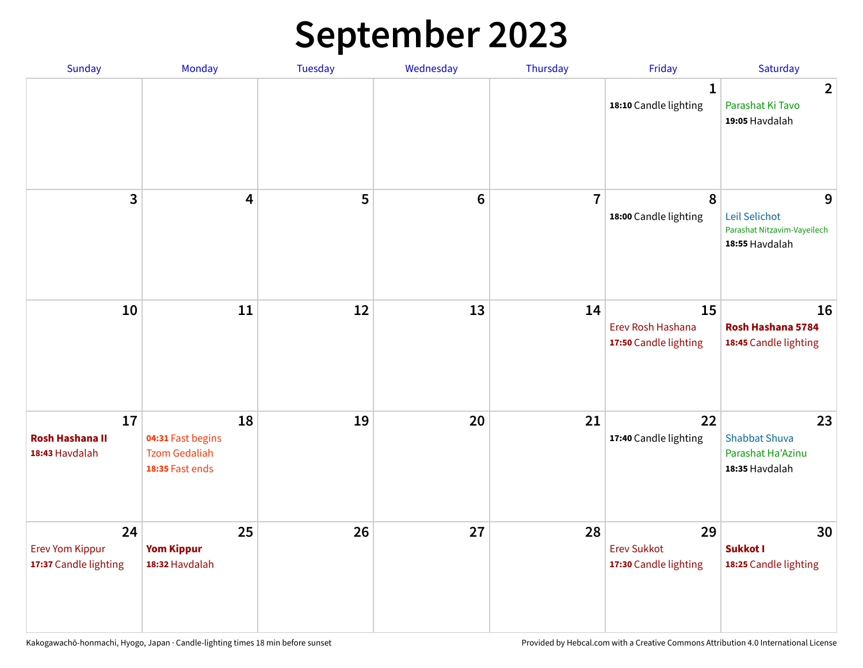### **September 2023**

| Sunday                                                | Monday                                                             | <b>Tuesday</b> | Wednesday       | Thursday       | Friday                                            | Saturday                                                            |
|-------------------------------------------------------|--------------------------------------------------------------------|----------------|-----------------|----------------|---------------------------------------------------|---------------------------------------------------------------------|
|                                                       |                                                                    |                |                 |                | $\mathbf 1$<br>18:10 Candle lighting              | $\overline{2}$<br>Parashat Ki Tavo<br>19:05 Havdalah                |
| 3                                                     | $\overline{\mathbf{4}}$                                            | 5              | $6\phantom{1}6$ | $\overline{7}$ | 8<br>18:00 Candle lighting                        | 9<br>Leil Selichot<br>Parashat Nitzavim-Vayeilech<br>18:55 Havdalah |
| 10                                                    | 11                                                                 | 12             | 13              | 14             | 15<br>Erev Rosh Hashana<br>17:50 Candle lighting  | 16<br>Rosh Hashana 5784<br>18:45 Candle lighting                    |
| 17<br><b>Rosh Hashana II</b><br>18:43 Havdalah        | 18<br>04:31 Fast begins<br><b>Tzom Gedaliah</b><br>18:35 Fast ends | 19             | 20              | 21             | 22<br>17:40 Candle lighting                       | 23<br><b>Shabbat Shuva</b><br>Parashat Ha'Azinu<br>18:35 Havdalah   |
| 24<br><b>Erev Yom Kippur</b><br>17:37 Candle lighting | 25<br><b>Yom Kippur</b><br>18:32 Havdalah                          | 26             | 27              | 28             | 29<br><b>Erev Sukkot</b><br>17:30 Candle lighting | 30<br><b>Sukkot I</b><br>18:25 Candle lighting                      |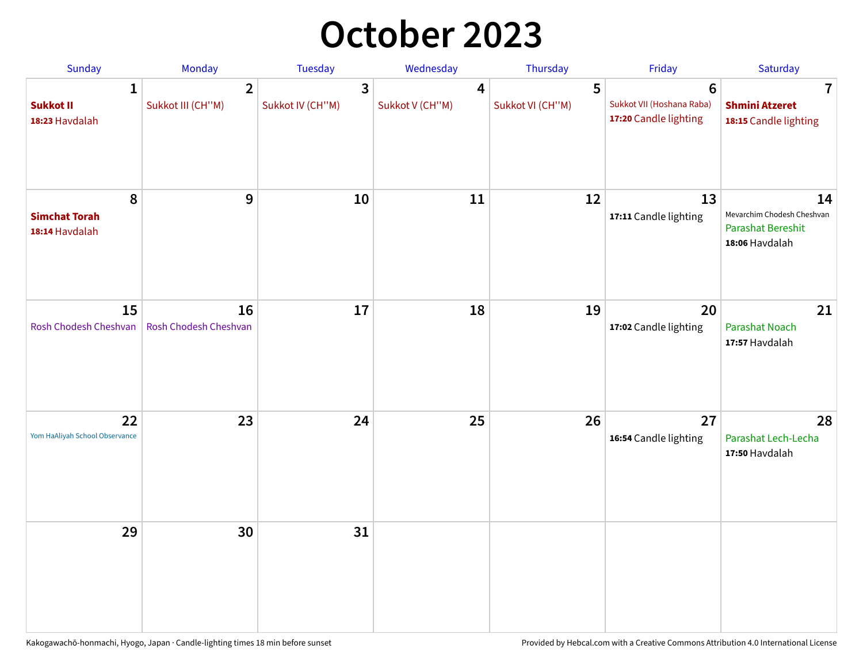## **October 2023**

| Sunday                                      | Monday                              | Tuesday               | Wednesday            | Thursday              | Friday                                                        | Saturday                                                                       |
|---------------------------------------------|-------------------------------------|-----------------------|----------------------|-----------------------|---------------------------------------------------------------|--------------------------------------------------------------------------------|
| 1<br><b>Sukkot II</b><br>18:23 Havdalah     | $\overline{2}$<br>Sukkot III (CH"M) | 3<br>Sukkot IV (CH"M) | 4<br>Sukkot V (CH"M) | 5<br>Sukkot VI (CH"M) | $\bf 6$<br>Sukkot VII (Hoshana Raba)<br>17:20 Candle lighting | $\overline{1}$<br><b>Shmini Atzeret</b><br>18:15 Candle lighting               |
| 8<br><b>Simchat Torah</b><br>18:14 Havdalah | $\boldsymbol{9}$                    | 10                    | 11                   | 12                    | 13<br>17:11 Candle lighting                                   | 14<br>Mevarchim Chodesh Cheshvan<br><b>Parashat Bereshit</b><br>18:06 Havdalah |
| 15<br>Rosh Chodesh Cheshvan                 | 16<br>Rosh Chodesh Cheshvan         | 17                    | 18                   | 19                    | 20<br>17:02 Candle lighting                                   | 21<br><b>Parashat Noach</b><br>17:57 Havdalah                                  |
| 22<br>Yom HaAliyah School Observance        | 23                                  | 24                    | 25                   | 26                    | 27<br>16:54 Candle lighting                                   | 28<br>Parashat Lech-Lecha<br>17:50 Havdalah                                    |
| 29                                          | 30                                  | 31                    |                      |                       |                                                               |                                                                                |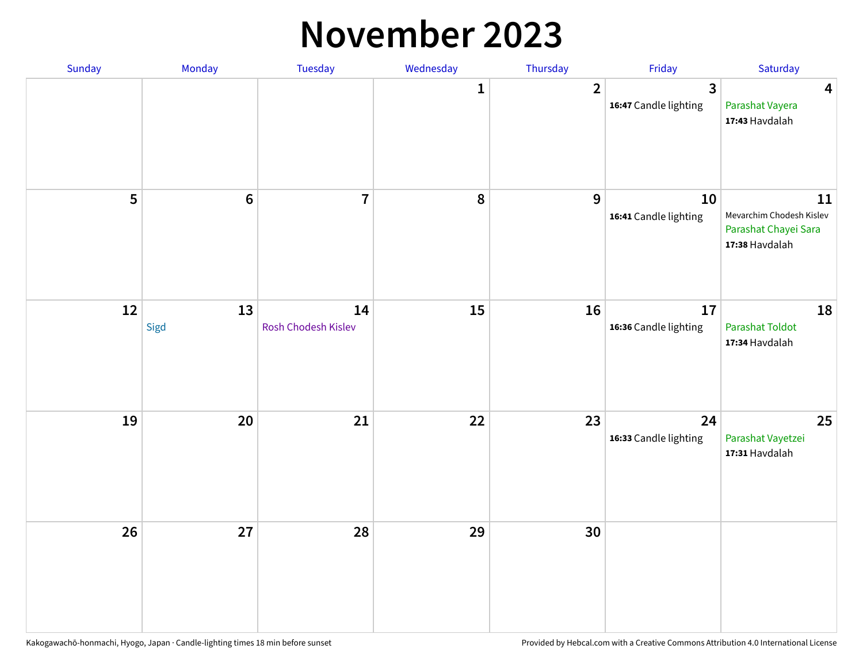#### **November 2023**

| Sunday | Monday         | Tuesday                   | Wednesday    | Thursday         | Friday                      | Saturday                                                                 |
|--------|----------------|---------------------------|--------------|------------------|-----------------------------|--------------------------------------------------------------------------|
|        |                |                           | $\mathbf{1}$ | $\overline{2}$   | 3<br>16:47 Candle lighting  | $\overline{\mathbf{4}}$<br>Parashat Vayera<br>17:43 Havdalah             |
| 5      | $6\phantom{a}$ | $\overline{\mathbf{7}}$   | ${\bf 8}$    | $\boldsymbol{9}$ | 10<br>16:41 Candle lighting | 11<br>Mevarchim Chodesh Kislev<br>Parashat Chayei Sara<br>17:38 Havdalah |
| 12     | 13<br>Sigd     | 14<br>Rosh Chodesh Kislev | 15           | 16               | 17<br>16:36 Candle lighting | 18<br>Parashat Toldot<br>17:34 Havdalah                                  |
| 19     | 20             | $21$                      | 22           | 23               | 24<br>16:33 Candle lighting | 25<br>Parashat Vayetzei<br>17:31 Havdalah                                |
| 26     | 27             | 28                        | 29           | 30               |                             |                                                                          |